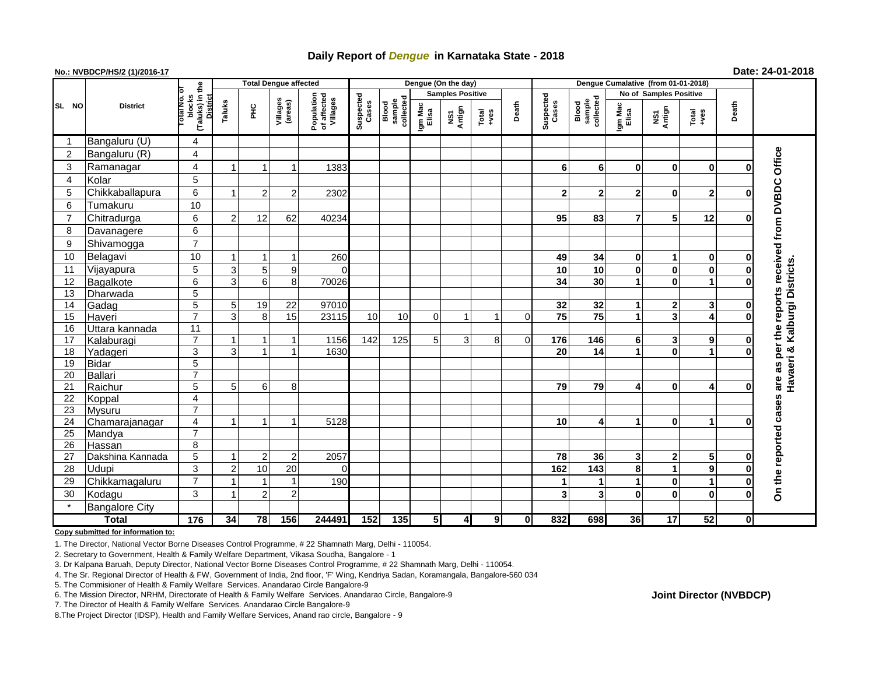## **Daily Report of** *Dengue* **in Karnataka State - 2018**

## **No.: NVBDCP/HS/2 (1)/2016-17 Date: 24-01-2018**

|                |                       |                                       | <b>Total Dengue affected</b> |                |                         |                                       |                    |                              |                         | Dengue (On the day) |                                                              |             |                    |                              |                      |                               |                  |              |                                    |
|----------------|-----------------------|---------------------------------------|------------------------------|----------------|-------------------------|---------------------------------------|--------------------|------------------------------|-------------------------|---------------------|--------------------------------------------------------------|-------------|--------------------|------------------------------|----------------------|-------------------------------|------------------|--------------|------------------------------------|
|                |                       |                                       |                              |                |                         |                                       |                    |                              | <b>Samples Positive</b> |                     |                                                              |             |                    |                              |                      | <b>No of Samples Positive</b> |                  |              |                                    |
| SL NO          | <b>District</b>       | (Taluks) in the<br>blocks<br>otal No. | <b>District</b><br>Taluks    | ĔЧ             | Villages<br>(areas)     | Population<br>of affected<br>Villages | Suspected<br>Cases | sample<br>collected<br>Blood | Igm Mac<br>Elisa        | Antign<br>δī        | $\begin{array}{c}\n\text{Total} \\ \text{14.4}\n\end{array}$ | Death       | Suspected<br>Cases | Blood<br>sample<br>collected | Igm Mac<br>Elisa     | NS1<br>Antign                 | Total<br>+ves    | Death        |                                    |
|                | Bangaluru (U)         | 4                                     |                              |                |                         |                                       |                    |                              |                         |                     |                                                              |             |                    |                              |                      |                               |                  |              |                                    |
| 2              | Bangaluru (R)         | $\overline{\mathbf{4}}$               |                              |                |                         |                                       |                    |                              |                         |                     |                                                              |             |                    |                              |                      |                               |                  |              |                                    |
| 3              | Ramanagar             | $\overline{\mathbf{4}}$               |                              |                | $\overline{\mathbf{1}}$ | 1383                                  |                    |                              |                         |                     |                                                              |             | 6                  | 6                            | 0                    | 0                             | $\bf{0}$         | 0            | reports received from DVBDC Office |
| $\overline{4}$ | Kolar                 | 5                                     |                              |                |                         |                                       |                    |                              |                         |                     |                                                              |             |                    |                              |                      |                               |                  |              |                                    |
| 5              | Chikkaballapura       | 6                                     |                              | 2              | 2                       | 2302                                  |                    |                              |                         |                     |                                                              |             | $\mathbf{2}$       | $\mathbf{2}$                 | $\mathbf{2}$         | $\bf{0}$                      | $\mathbf{2}$     | O            |                                    |
| 6              | Tumakuru              | 10                                    |                              |                |                         |                                       |                    |                              |                         |                     |                                                              |             |                    |                              |                      |                               |                  |              |                                    |
| $\overline{7}$ | Chitradurga           | 6                                     | 2                            | 12             | 62                      | 40234                                 |                    |                              |                         |                     |                                                              |             | 95                 | 83                           | $\overline{7}$       | 5                             | 12               | O            |                                    |
| 8              | Davanagere            | 6                                     |                              |                |                         |                                       |                    |                              |                         |                     |                                                              |             |                    |                              |                      |                               |                  |              |                                    |
| 9              | Shivamogga            | $\overline{7}$                        |                              |                |                         |                                       |                    |                              |                         |                     |                                                              |             |                    |                              |                      |                               |                  |              |                                    |
| 10             | Belagavi              | 10                                    |                              |                | -1                      | 260                                   |                    |                              |                         |                     |                                                              |             | 49                 | 34                           | $\mathbf 0$          | 1                             | 0                | 0            |                                    |
| 11             | Vijayapura            | 5                                     | 3                            | 5              | 9                       | C                                     |                    |                              |                         |                     |                                                              |             | 10                 | 10                           | $\mathbf{0}$         | 0                             | $\bf{0}$         | $\bf{0}$     | Havaeri & Kalburgi Districts       |
| 12             | Bagalkote             | $\overline{6}$                        | 3                            | 6              | 8                       | 70026                                 |                    |                              |                         |                     |                                                              |             | 34                 | 30                           |                      | $\bf{0}$                      | $\mathbf{1}$     | $\Omega$     |                                    |
| 13             | Dharwada              | $\overline{5}$                        |                              |                |                         |                                       |                    |                              |                         |                     |                                                              |             |                    |                              |                      |                               |                  |              |                                    |
| 14             | Gadag                 | $\overline{5}$                        | 5                            | 19             | 22                      | 97010                                 |                    |                              |                         |                     |                                                              |             | 32                 | 32                           | 1                    | 2                             | 3                | $\mathbf 0$  |                                    |
| 15             | Haveri                | $\overline{7}$                        | 3                            | 8              | 15                      | 23115                                 | 10                 | 10                           | $\Omega$                | $\mathbf{1}$        | 1                                                            | $\Omega$    | 75                 | $\overline{75}$              | $\mathbf{1}$         | 3                             | 4                | $\bf{0}$     |                                    |
| 16             | Uttara kannada        | $\overline{11}$                       |                              |                |                         |                                       |                    |                              |                         |                     |                                                              |             |                    |                              |                      |                               |                  |              | the                                |
| 17             | Kalaburagi            | $\overline{7}$                        |                              | 1              | -1                      | 1156                                  | 142                | 125                          | 5                       | 3                   | 8                                                            | 0           | $\frac{1}{176}$    | 146                          | 6                    | 3                             | 9                | $\mathbf 0$  |                                    |
| 18             | Yadageri              | 3                                     | 3                            | $\overline{1}$ | $\overline{1}$          | 1630                                  |                    |                              |                         |                     |                                                              |             | 20                 | 14                           | $\blacktriangleleft$ | $\bf{0}$                      | 1                | $\bf{0}$     | per                                |
| 19             | <b>Bidar</b>          | $\overline{5}$                        |                              |                |                         |                                       |                    |                              |                         |                     |                                                              |             |                    |                              |                      |                               |                  |              | as                                 |
| 20             | Ballari               | $\overline{7}$                        |                              |                |                         |                                       |                    |                              |                         |                     |                                                              |             |                    |                              |                      |                               |                  |              |                                    |
| 21             | Raichur               | 5                                     | 5                            | 6              | 8                       |                                       |                    |                              |                         |                     |                                                              |             | 79                 | 79                           | 4                    | 0                             | 4                | $\mathbf 0$  | are                                |
| 22             | Koppal                | 4                                     |                              |                |                         |                                       |                    |                              |                         |                     |                                                              |             |                    |                              |                      |                               |                  |              | cases                              |
| 23             | <b>Mysuru</b>         | $\overline{7}$                        |                              |                |                         |                                       |                    |                              |                         |                     |                                                              |             |                    |                              |                      |                               |                  |              |                                    |
| 24             | Chamarajanagar        | $\overline{4}$                        |                              | 1              | $\mathbf 1$             | 5128                                  |                    |                              |                         |                     |                                                              |             | 10                 | 4                            | 1                    | $\bf{0}$                      | $\mathbf 1$      | O            |                                    |
| 25             | Mandya                | $\overline{7}$                        |                              |                |                         |                                       |                    |                              |                         |                     |                                                              |             |                    |                              |                      |                               |                  |              |                                    |
| 26             | Hassan                | 8                                     |                              |                |                         |                                       |                    |                              |                         |                     |                                                              |             |                    |                              |                      |                               |                  |              |                                    |
| 27             | Dakshina Kannada      | $\overline{5}$                        |                              | $\overline{2}$ | $\overline{2}$          | 2057                                  |                    |                              |                         |                     |                                                              |             | 78                 | 36                           | 3                    | 2                             | 5                | 0            |                                    |
| 28             | <b>Udupi</b>          | 3                                     | 2                            | 10             | 20                      | $\Omega$                              |                    |                              |                         |                     |                                                              |             | 162                | 143                          | 8                    | 1                             | $\boldsymbol{9}$ | $\bf{0}$     |                                    |
| 29             | Chikkamagaluru        | $\overline{7}$                        |                              |                | $\overline{1}$          | 190                                   |                    |                              |                         |                     |                                                              |             | 1                  | 1                            | 1                    | 0                             | $\mathbf 1$      | $\bf{0}$     | On the reported                    |
| 30             | Kodagu                | 3                                     |                              | $\overline{2}$ | $\overline{2}$          |                                       |                    |                              |                         |                     |                                                              |             | 3                  | 3                            | $\bf{0}$             | $\mathbf 0$                   | $\bf{0}$         | $\mathbf 0$  |                                    |
|                | <b>Bangalore City</b> |                                       |                              |                |                         |                                       |                    |                              |                         |                     |                                                              |             |                    |                              |                      |                               |                  |              |                                    |
| <b>Total</b>   |                       | 176                                   | 34                           | 78             | 156                     | 244491                                | $\frac{152}{ }$    | 135                          | $5\overline{)}$         | 4                   | 9                                                            | $\mathbf 0$ | 832                | 698                          | 36 <sup>l</sup>      | 17                            | 52               | $\mathbf{0}$ |                                    |

**Copy submitted for information to:**

1. The Director, National Vector Borne Diseases Control Programme, # 22 Shamnath Marg, Delhi - 110054.

2. Secretary to Government, Health & Family Welfare Department, Vikasa Soudha, Bangalore - 1

3. Dr Kalpana Baruah, Deputy Director, National Vector Borne Diseases Control Programme, # 22 Shamnath Marg, Delhi - 110054.

4. The Sr. Regional Director of Health & FW, Government of India, 2nd floor, 'F' Wing, Kendriya Sadan, Koramangala, Bangalore-560 034

5. The Commisioner of Health & Family Welfare Services. Anandarao Circle Bangalore-9

## **Joint Director (NVBDCP)**

<sup>6.</sup> The Mission Director, NRHM, Directorate of Health & Family Welfare Services. Anandarao Circle, Bangalore-9

<sup>7.</sup> The Director of Health & Family Welfare Services. Anandarao Circle Bangalore-9

<sup>8.</sup>The Project Director (IDSP), Health and Family Welfare Services, Anand rao circle, Bangalore - 9